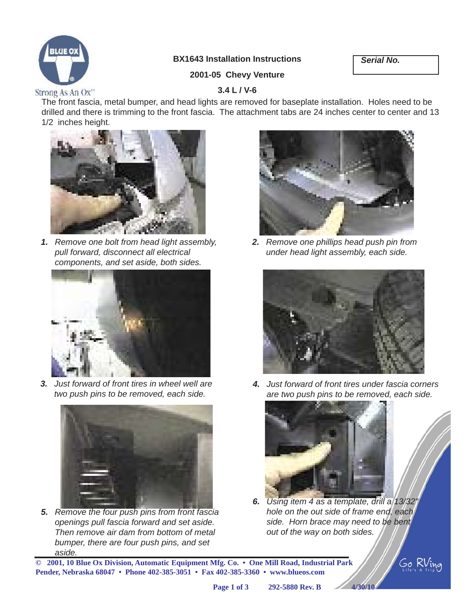

## **BX1643 Installation Instructions**

*Serial No.*

### **2001-05 Chevy Venture**

#### Strong As An Ox"

#### **3.4 L / V-6**

The front fascia, metal bumper, and head lights are removed for baseplate installation. Holes need to be drilled and there is trimming to the front fascia. The attachment tabs are 24 inches center to center and 13 1/2 inches height.



*1. Remove one bolt from head light assembly, pull forward, disconnect all electrical components, and set aside, both sides.*



*3. Just forward of front tires in wheel well are two push pins to be removed, each side.*



*5. Remove the four push pins from front fascia openings pull fascia forward and set aside. Then remove air dam from bottom of metal bumper, there are four push pins, and set aside.*



*2. Remove one phillips head push pin from under head light assembly, each side.*



*4. Just forward of front tires under fascia corners are two push pins to be removed, each side.*



*6. Using item 4 as a template, drill a 13/32" hole on the out side of frame end, each side. Horn brace may need to be bent out of the way on both sides.*

Go RVino

**© 2001, 10 Blue Ox Division, Automatic Equipment Mfg. Co. • One Mill Road, Industrial Park Pender, Nebraska 68047 • Phone 402-385-3051 • Fax 402-385-3360 • www.blueos.com**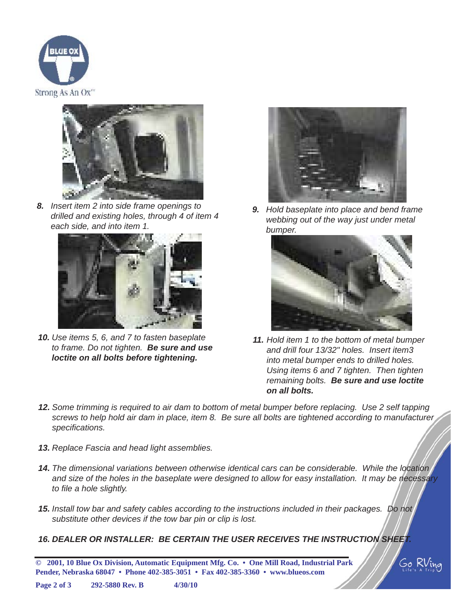



*8. Insert item 2 into side frame openings to drilled and existing holes, through 4 of item 4 each side, and into item 1.*



*10. Use items 5, 6, and 7 to fasten baseplate to frame. Do not tighten. Be sure and use loctite on all bolts before tightening.*



*9. Hold baseplate into place and bend frame webbing out of the way just under metal bumper.*



- *11. Hold item 1 to the bottom of metal bumper and drill four 13/32" holes. Insert item3 into metal bumper ends to drilled holes. Using items 6 and 7 tighten. Then tighten remaining bolts. Be sure and use loctite on all bolts.*
- *12. Some trimming is required to air dam to bottom of metal bumper before replacing. Use 2 self tapping screws to help hold air dam in place, item 8. Be sure all bolts are tightened according to manufacturer specifi cations.*
- *13. Replace Fascia and head light assemblies.*
- *14. The dimensional variations between otherwise identical cars can be considerable. While the location and size of the holes in the baseplate were designed to allow for easy installation. It may be necessary to fi le a hole slightly.*
- *15. Install tow bar and safety cables according to the instructions included in their packages. Do not substitute other devices if the tow bar pin or clip is lost.*
- *16. DEALER OR INSTALLER: BE CERTAIN THE USER RECEIVES THE INSTRUCTION SHEET.*

**© 2001, 10 Blue Ox Division, Automatic Equipment Mfg. Co. • One Mill Road, Industrial Park Pender, Nebraska 68047 • Phone 402-385-3051 • Fax 402-385-3360 • www.blueos.com**